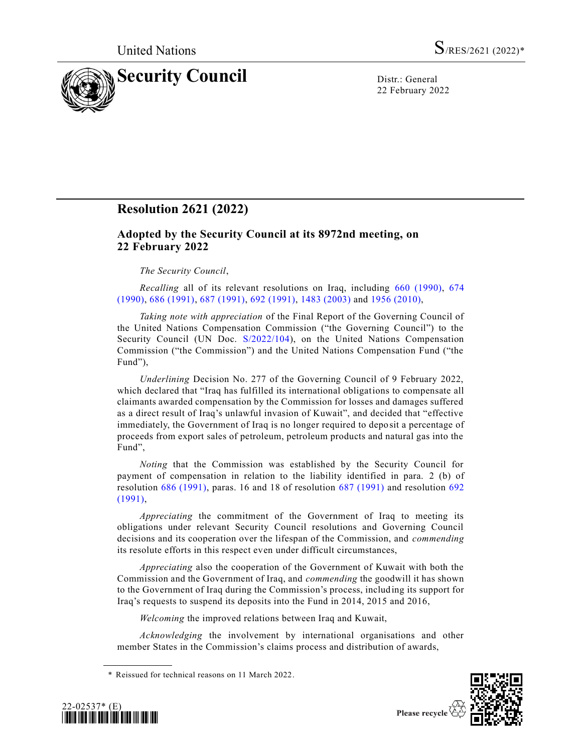

22 February 2022

## **Resolution 2621 (2022)**

## **Adopted by the Security Council at its 8972nd meeting, on 22 February 2022**

## *The Security Council*,

*Recalling* all of its relevant resolutions on Iraq, including [660 \(1990\),](https://undocs.org/en/S/RES/660(1990)) [674](https://undocs.org/en/S/RES/674(1990))  [\(1990\),](https://undocs.org/en/S/RES/674(1990)) [686 \(1991\),](https://undocs.org/en/S/RES/686(1991)) [687 \(1991\),](https://undocs.org/en/S/RES/687(1991)) [692 \(1991\),](https://undocs.org/en/S/RES/692(1991)) [1483 \(2003\)](https://undocs.org/en/S/RES/1483(2003)) and 1956 [\(2010\),](https://undocs.org/en/S/RES/1956(2010))

*Taking note with appreciation* of the Final Report of the Governing Council of the United Nations Compensation Commission ("the Governing Council") to the Security Council (UN Doc. [S/2022/104\)](https://undocs.org/en/S/2022/104), on the United Nations Compensation Commission ("the Commission") and the United Nations Compensation Fund ("the Fund"),

*Underlining* Decision No. 277 of the Governing Council of 9 February 2022, which declared that "Iraq has fulfilled its international obligations to compensate all claimants awarded compensation by the Commission for losses and damages suffered as a direct result of Iraq's unlawful invasion of Kuwait", and decided that "effective immediately, the Government of Iraq is no longer required to deposit a percentage of proceeds from export sales of petroleum, petroleum products and natural gas into the Fund",

*Noting* that the Commission was established by the Security Council for payment of compensation in relation to the liability identified in para. 2 (b) of resolution [686 \(1991\),](https://undocs.org/en/S/RES/686(1991)) paras. 16 and 18 of resolution [687 \(1991\)](https://undocs.org/en/S/RES/687(1991)) and resolution [692](https://undocs.org/en/S/RES/692(1991))  [\(1991\),](https://undocs.org/en/S/RES/692(1991))

*Appreciating* the commitment of the Government of Iraq to meeting its obligations under relevant Security Council resolutions and Governing Council decisions and its cooperation over the lifespan of the Commission, and *commending* its resolute efforts in this respect even under difficult circumstances,

*Appreciating* also the cooperation of the Government of Kuwait with both the Commission and the Government of Iraq, and *commending* the goodwill it has shown to the Government of Iraq during the Commission's process, including its support for Iraq's requests to suspend its deposits into the Fund in 2014, 2015 and 2016,

*Welcoming* the improved relations between Iraq and Kuwait,

*Acknowledging* the involvement by international organisations and other member States in the Commission's claims process and distribution of awards,





<sup>\*</sup> Reissued for technical reasons on 11 March 2022.